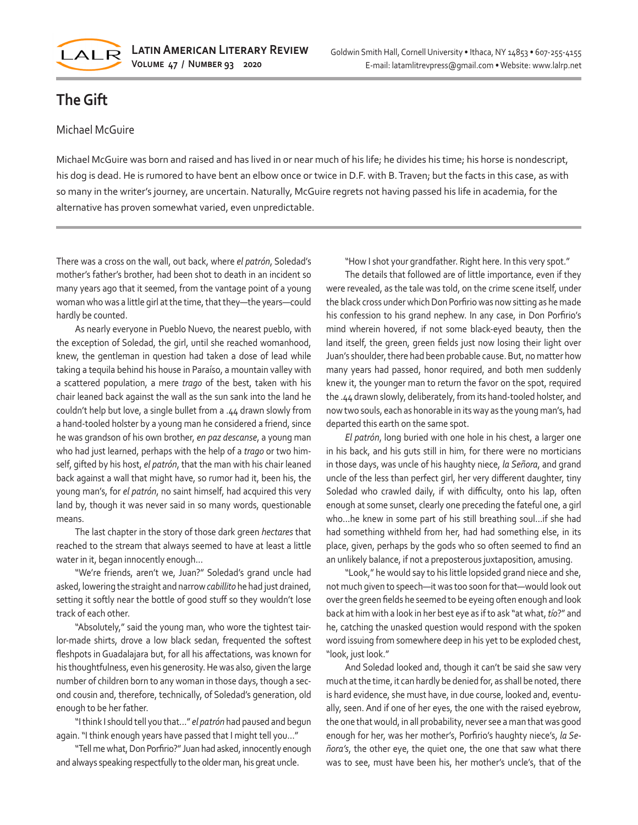

## **The Gift**

## Michael McGuire

Michael McGuire was born and raised and has lived in or near much of his life; he divides his time; his horse is nondescript, his dog is dead. He is rumored to have bent an elbow once or twice in D.F. with B. Traven; but the facts in this case, as with so many in the writer's journey, are uncertain. Naturally, McGuire regrets not having passed his life in academia, for the alternative has proven somewhat varied, even unpredictable.

There was a cross on the wall, out back, where *el patrón*, Soledad's mother's father's brother, had been shot to death in an incident so many years ago that it seemed, from the vantage point of a young woman who was a little girl at the time, that they—the years—could hardly be counted.

As nearly everyone in Pueblo Nuevo, the nearest pueblo, with the exception of Soledad, the girl, until she reached womanhood, knew, the gentleman in question had taken a dose of lead while taking a tequila behind his house in Paraíso, a mountain valley with a scattered population, a mere *trago* of the best, taken with his chair leaned back against the wall as the sun sank into the land he couldn't help but love, a single bullet from a .44 drawn slowly from a hand-tooled holster by a young man he considered a friend, since he was grandson of his own brother, *en paz descanse*, a young man who had just learned, perhaps with the help of a *trago* or two himself, gifted by his host, *el patrón*, that the man with his chair leaned back against a wall that might have, so rumor had it, been his, the young man's, for *el patrón*, no saint himself, had acquired this very land by, though it was never said in so many words, questionable means.

The last chapter in the story of those dark green *hectares* that reached to the stream that always seemed to have at least a little water in it, began innocently enough…

"We're friends, aren't we, Juan?" Soledad's grand uncle had asked, lowering the straight and narrow *cabillito* he had just drained, setting it softly near the bottle of good stuff so they wouldn't lose track of each other.

"Absolutely," said the young man, who wore the tightest tairlor-made shirts, drove a low black sedan, frequented the softest fleshpots in Guadalajara but, for all his affectations, was known for his thoughtfulness, even his generosity. He was also, given the large number of children born to any woman in those days, though a second cousin and, therefore, technically, of Soledad's generation, old enough to be her father.

"I think I should tell you that…" *el patrón* had paused and begun again. "I think enough years have passed that I might tell you…"

"Tell me what, Don Porfirio?" Juan had asked, innocently enough and always speaking respectfully to the older man, his great uncle.

"How I shot your grandfather. Right here. In this very spot."

The details that followed are of little importance, even if they were revealed, as the tale was told, on the crime scene itself, under the black cross under which Don Porfirio was now sitting as he made his confession to his grand nephew. In any case, in Don Porfirio's mind wherein hovered, if not some black-eyed beauty, then the land itself, the green, green fields just now losing their light over Juan's shoulder, there had been probable cause. But, no matter how many years had passed, honor required, and both men suddenly knew it, the younger man to return the favor on the spot, required the .44 drawn slowly, deliberately, from its hand-tooled holster, and now two souls, each as honorable in its way as the young man's, had departed this earth on the same spot.

*El patrón*, long buried with one hole in his chest, a larger one in his back, and his guts still in him, for there were no morticians in those days, was uncle of his haughty niece, *la Señora*, and grand uncle of the less than perfect girl, her very different daughter, tiny Soledad who crawled daily, if with difficulty, onto his lap, often enough at some sunset, clearly one preceding the fateful one, a girl who…he knew in some part of his still breathing soul…if she had had something withheld from her, had had something else, in its place, given, perhaps by the gods who so often seemed to find an an unlikely balance, if not a preposterous juxtaposition, amusing.

"Look," he would say to his little lopsided grand niece and she, not much given to speech—it was too soon for that—would look out over the green fields he seemed to be eyeing often enough and look back at him with a look in her best eye as if to ask "at what, *tío*?" and he, catching the unasked question would respond with the spoken word issuing from somewhere deep in his yet to be exploded chest, "look, just look."

And Soledad looked and, though it can't be said she saw very much at the time, it can hardly be denied for, as shall be noted, there is hard evidence, she must have, in due course, looked and, eventually, seen. And if one of her eyes, the one with the raised eyebrow, the one that would, in all probability, never see a man that was good enough for her, was her mother's, Porfirio's haughty niece's, *la Señora's*, the other eye, the quiet one, the one that saw what there was to see, must have been his, her mother's uncle's, that of the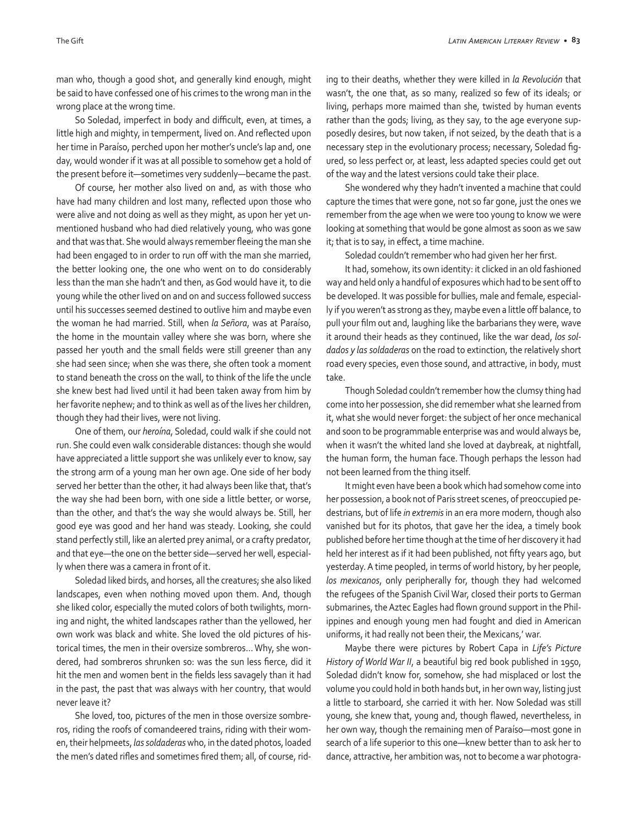man who, though a good shot, and generally kind enough, might be said to have confessed one of his crimes to the wrong man in the wrong place at the wrong time.

So Soledad, imperfect in body and difficult, even, at times, a little high and mighty, in temperment, lived on. And reflected upon her time in Paraíso, perched upon her mother's uncle's lap and, one day, would wonder if it was at all possible to somehow get a hold of the present before it—sometimes very suddenly—became the past.

Of course, her mother also lived on and, as with those who have had many children and lost many, reflected upon those who were alive and not doing as well as they might, as upon her yet unmentioned husband who had died relatively young, who was gone and that was that. She would always remember fleeing the man she had been engaged to in order to run off with the man she married, the better looking one, the one who went on to do considerably less than the man she hadn't and then, as God would have it, to die young while the other lived on and on and success followed success until his successes seemed destined to outlive him and maybe even the woman he had married. Still, when *la Señora*, was at Paraíso, the home in the mountain valley where she was born, where she passed her youth and the small fields were still greener than any she had seen since; when she was there, she often took a moment to stand beneath the cross on the wall, to think of the life the uncle she knew best had lived until it had been taken away from him by her favorite nephew; and to think as well as of the lives her children, though they had their lives, were not living.

One of them, our *heroína*, Soledad, could walk if she could not run. She could even walk considerable distances: though she would have appreciated a little support she was unlikely ever to know, say the strong arm of a young man her own age. One side of her body served her better than the other, it had always been like that, that's the way she had been born, with one side a little better, or worse, than the other, and that's the way she would always be. Still, her good eye was good and her hand was steady. Looking, she could stand perfectly still, like an alerted prey animal, or a crafty predator, and that eye—the one on the better side—served her well, especially when there was a camera in front of it.

Soledad liked birds, and horses, all the creatures; she also liked landscapes, even when nothing moved upon them. And, though she liked color, especially the muted colors of both twilights, morning and night, the whited landscapes rather than the yellowed, her own work was black and white. She loved the old pictures of historical times, the men in their oversize sombreros… Why, she wondered, had sombreros shrunken so: was the sun less fierce, did it hit the men and women bent in the fields less savagely than it had in the past, the past that was always with her country, that would never leave it?

She loved, too, pictures of the men in those oversize sombreros, riding the roofs of comandeered trains, riding with their women, their helpmeets, *las soldaderas* who, in the dated photos, loaded the men's dated rifles and sometimes fired them; all, of course, riding to their deaths, whether they were killed in *la Revolución* that wasn't, the one that, as so many, realized so few of its ideals; or living, perhaps more maimed than she, twisted by human events rather than the gods; living, as they say, to the age everyone supposedly desires, but now taken, if not seized, by the death that is a necessary step in the evolutionary process; necessary, Soledad figured, so less perfect or, at least, less adapted species could get out of the way and the latest versions could take their place.

She wondered why they hadn't invented a machine that could capture the times that were gone, not so far gone, just the ones we remember from the age when we were too young to know we were looking at something that would be gone almost as soon as we saw it; that is to say, in effect, a time machine.

Soledad couldn't remember who had given her her first.

It had, somehow, its own identity: it clicked in an old fashioned way and held only a handful of exposures which had to be sent off to be developed. It was possible for bullies, male and female, especially if you weren't as strong as they, maybe even a little off balance, to pull your film out and, laughing like the barbarians they were, wave it around their heads as they continued, like the war dead, *los soldados y las soldaderas* on the road to extinction, the relatively short road every species, even those sound, and attractive, in body, must take.

Though Soledad couldn't remember how the clumsy thing had come into her possession, she did remember what she learned from it, what she would never forget: the subject of her once mechanical and soon to be programmable enterprise was and would always be, when it wasn't the whited land she loved at daybreak, at nightfall, the human form, the human face. Though perhaps the lesson had not been learned from the thing itself.

It might even have been a book which had somehow come into her possession, a book not of Paris street scenes, of preoccupied pedestrians, but of life *in extremis* in an era more modern, though also vanished but for its photos, that gave her the idea, a timely book published before her time though at the time of her discovery it had held her interest as if it had been published, not fifty years ago, but yesterday. A time peopled, in terms of world history, by her people, *los mexicanos*, only peripherally for, though they had welcomed the refugees of the Spanish Civil War, closed their ports to German submarines, the Aztec Eagles had flown ground support in the Philippines and enough young men had fought and died in American uniforms, it had really not been their, the Mexicans,' war.

Maybe there were pictures by Robert Capa in *Life's Picture History of World War II*, a beautiful big red book published in 1950, Soledad didn't know for, somehow, she had misplaced or lost the volume you could hold in both hands but, in her own way, listing just a little to starboard, she carried it with her. Now Soledad was still young, she knew that, young and, though flawed, nevertheless, in her own way, though the remaining men of Paraíso—most gone in search of a life superior to this one—knew better than to ask her to dance, attractive, her ambition was, not to become a war photogra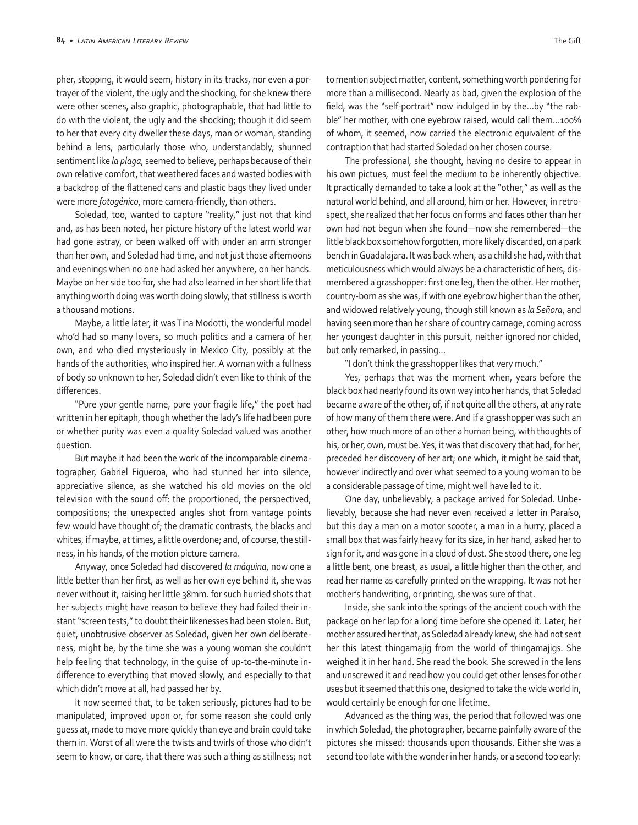pher, stopping, it would seem, history in its tracks, nor even a portrayer of the violent, the ugly and the shocking, for she knew there were other scenes, also graphic, photographable, that had little to do with the violent, the ugly and the shocking; though it did seem to her that every city dweller these days, man or woman, standing behind a lens, particularly those who, understandably, shunned sentiment like *la plaga*, seemed to believe, perhaps because of their own relative comfort, that weathered faces and wasted bodies with a backdrop of the flattened cans and plastic bags they lived under were more *fotogénico*, more camera-friendly, than others.

Soledad, too, wanted to capture "reality," just not that kind and, as has been noted, her picture history of the latest world war had gone astray, or been walked off with under an arm stronger than her own, and Soledad had time, and not just those afternoons and evenings when no one had asked her anywhere, on her hands. Maybe on her side too for, she had also learned in her short life that anything worth doing was worth doing slowly, that stillness is worth a thousand motions.

Maybe, a little later, it was Tina Modotti, the wonderful model who'd had so many lovers, so much politics and a camera of her own, and who died mysteriously in Mexico City, possibly at the hands of the authorities, who inspired her. A woman with a fullness of body so unknown to her, Soledad didn't even like to think of the differences.

"Pure your gentle name, pure your fragile life," the poet had written in her epitaph, though whether the lady's life had been pure or whether purity was even a quality Soledad valued was another question.

But maybe it had been the work of the incomparable cinematographer, Gabriel Figueroa, who had stunned her into silence, appreciative silence, as she watched his old movies on the old television with the sound off: the proportioned, the perspectived, compositions; the unexpected angles shot from vantage points few would have thought of; the dramatic contrasts, the blacks and whites, if maybe, at times, a little overdone; and, of course, the stillness, in his hands, of the motion picture camera.

Anyway, once Soledad had discovered *la máquina*, now one a little better than her first, as well as her own eye behind it, she was never without it, raising her little 38mm. for such hurried shots that her subjects might have reason to believe they had failed their instant "screen tests," to doubt their likenesses had been stolen. But, quiet, unobtrusive observer as Soledad, given her own deliberateness, might be, by the time she was a young woman she couldn't help feeling that technology, in the guise of up-to-the-minute indifference to everything that moved slowly, and especially to that which didn't move at all, had passed her by.

It now seemed that, to be taken seriously, pictures had to be manipulated, improved upon or, for some reason she could only guess at, made to move more quickly than eye and brain could take them in. Worst of all were the twists and twirls of those who didn't seem to know, or care, that there was such a thing as stillness; not

to mention subject matter, content, something worth pondering for more than a millisecond. Nearly as bad, given the explosion of the field, was the "self-portrait" now indulged in by the…by "the rabble" her mother, with one eyebrow raised, would call them…100% of whom, it seemed, now carried the electronic equivalent of the contraption that had started Soledad on her chosen course.

The professional, she thought, having no desire to appear in his own pictues, must feel the medium to be inherently objective. It practically demanded to take a look at the "other," as well as the natural world behind, and all around, him or her. However, in retrospect, she realized that her focus on forms and faces other than her own had not begun when she found—now she remembered—the little black box somehow forgotten, more likely discarded, on a park bench in Guadalajara. It was back when, as a child she had, with that meticulousness which would always be a characteristic of hers, dismembered a grasshopper: first one leg, then the other. Her mother, country-born as she was, if with one eyebrow higher than the other, and widowed relatively young, though still known as *la Señora*, and having seen more than her share of country carnage, coming across her youngest daughter in this pursuit, neither ignored nor chided, but only remarked, in passing…

"I don't think the grasshopper likes that very much."

Yes, perhaps that was the moment when, years before the black box had nearly found its own way into her hands, that Soledad became aware of the other; of, if not quite all the others, at any rate of how many of them there were. And if a grasshopper was such an other, how much more of an other a human being, with thoughts of his, or her, own, must be. Yes, it was that discovery that had, for her, preceded her discovery of her art; one which, it might be said that, however indirectly and over what seemed to a young woman to be a considerable passage of time, might well have led to it.

One day, unbelievably, a package arrived for Soledad. Unbelievably, because she had never even received a letter in Paraíso, but this day a man on a motor scooter, a man in a hurry, placed a small box that was fairly heavy for its size, in her hand, asked her to sign for it, and was gone in a cloud of dust. She stood there, one leg a little bent, one breast, as usual, a little higher than the other, and read her name as carefully printed on the wrapping. It was not her mother's handwriting, or printing, she was sure of that.

Inside, she sank into the springs of the ancient couch with the package on her lap for a long time before she opened it. Later, her mother assured her that, as Soledad already knew, she had not sent her this latest thingamajig from the world of thingamajigs. She weighed it in her hand. She read the book. She screwed in the lens and unscrewed it and read how you could get other lenses for other uses but it seemed that this one, designed to take the wide world in, would certainly be enough for one lifetime.

Advanced as the thing was, the period that followed was one in which Soledad, the photographer, became painfully aware of the pictures she missed: thousands upon thousands. Either she was a second too late with the wonder in her hands, or a second too early: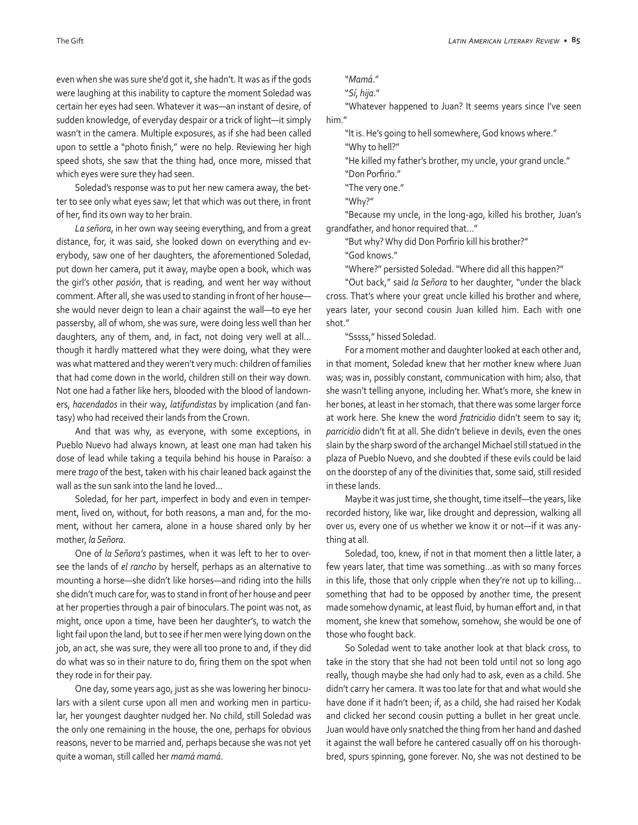even when she was sure she'd got it, she hadn't. It was as if the gods were laughing at this inability to capture the moment Soledad was certain her eyes had seen. Whatever it was—an instant of desire, of sudden knowledge, of everyday despair or a trick of light—it simply wasn't in the camera. Multiple exposures, as if she had been called upon to settle a "photo finish," were no help. Reviewing her high speed shots, she saw that the thing had, once more, missed that which eyes were sure they had seen.

Soledad's response was to put her new camera away, the better to see only what eyes saw; let that which was out there, in front of her, find its own way to her brain.

*La señora*, in her own way seeing everything, and from a great distance, for, it was said, she looked down on everything and everybody, saw one of her daughters, the aforementioned Soledad, put down her camera, put it away, maybe open a book, which was the girl's other *pasión*, that is reading, and went her way without comment. After all, she was used to standing in front of her house she would never deign to lean a chair against the wall—to eye her passersby, all of whom, she was sure, were doing less well than her daughters, any of them, and, in fact, not doing very well at all… though it hardly mattered what they were doing, what they were was what mattered and they weren't very much: children of families that had come down in the world, children still on their way down. Not one had a father like hers, blooded with the blood of landowners, *hacendados* in their way, *latifundistas* by implication (and fantasy) who had received their lands from the Crown.

And that was why, as everyone, with some exceptions, in Pueblo Nuevo had always known, at least one man had taken his dose of lead while taking a tequila behind his house in Paraíso: a mere *trago* of the best, taken with his chair leaned back against the wall as the sun sank into the land he loved…

Soledad, for her part, imperfect in body and even in temperment, lived on, without, for both reasons, a man and, for the moment, without her camera, alone in a house shared only by her mother, *la Señora*.

One of *la Señora's* pastimes, when it was left to her to oversee the lands of *el rancho* by herself, perhaps as an alternative to mounting a horse—she didn't like horses—and riding into the hills she didn't much care for, was to stand in front of her house and peer at her properties through a pair of binoculars. The point was not, as might, once upon a time, have been her daughter's, to watch the light fail upon the land, but to see if her men were lying down on the job, an act, she was sure, they were all too prone to and, if they did do what was so in their nature to do, firing them on the spot when they rode in for their pay.

One day, some years ago, just as she was lowering her binoculars with a silent curse upon all men and working men in particular, her youngest daughter nudged her. No child, still Soledad was the only one remaining in the house, the one, perhaps for obvious reasons, never to be married and, perhaps because she was not yet quite a woman, still called her *mamá mamá*.

```
"Mamá."
```

```
"Sí, hija."
```
"Whatever happened to Juan? It seems years since I've seen him."

"It is. He's going to hell somewhere, God knows where."

"Why to hell?"

"He killed my father's brother, my uncle, your grand uncle." "Don Porfirio."

"The very one."

"Why?"

"Because my uncle, in the long-ago, killed his brother, Juan's grandfather, and honor required that…"

"But why? Why did Don Porfirio kill his brother?"

"God knows."

"Where?" persisted Soledad. "Where did all this happen?"

"Out back," said *la Señora* to her daughter, "under the black cross. That's where your great uncle killed his brother and where, years later, your second cousin Juan killed him. Each with one shot."

"Sssss," hissed Soledad.

For a moment mother and daughter looked at each other and, in that moment, Soledad knew that her mother knew where Juan was; was in, possibly constant, communication with him; also, that she wasn't telling anyone, including her. What's more, she knew in her bones, at least in her stomach, that there was some larger force at work here. She knew the word *fratricidio* didn't seem to say it; *parricidio* didn't fit at all. She didn't believe in devils, even the ones slain by the sharp sword of the archangel Michael still statued in the plaza of Pueblo Nuevo, and she doubted if these evils could be laid on the doorstep of any of the divinities that, some said, still resided in these lands.

Maybe it was just time, she thought, time itself—the years, like recorded history, like war, like drought and depression, walking all over us, every one of us whether we know it or not—if it was anything at all.

Soledad, too, knew, if not in that moment then a little later, a few years later, that time was something…as with so many forces in this life, those that only cripple when they're not up to killing… something that had to be opposed by another time, the present made somehow dynamic, at least fluid, by human effort and, in that moment, she knew that somehow, somehow, she would be one of those who fought back.

So Soledad went to take another look at that black cross, to take in the story that she had not been told until not so long ago really, though maybe she had only had to ask, even as a child. She didn't carry her camera. It was too late for that and what would she have done if it hadn't been; if, as a child, she had raised her Kodak and clicked her second cousin putting a bullet in her great uncle. Juan would have only snatched the thing from her hand and dashed it against the wall before he cantered casually off on his thoroughbred, spurs spinning, gone forever. No, she was not destined to be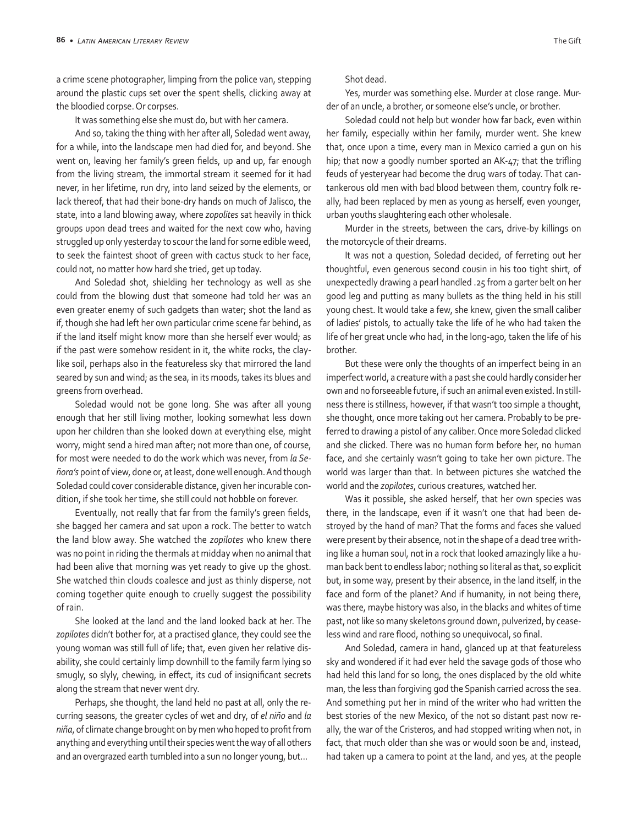a crime scene photographer, limping from the police van, stepping around the plastic cups set over the spent shells, clicking away at the bloodied corpse. Or corpses.

It was something else she must do, but with her camera.

And so, taking the thing with her after all, Soledad went away, for a while, into the landscape men had died for, and beyond. She went on, leaving her family's green fields, up and up, far enough from the living stream, the immortal stream it seemed for it had never, in her lifetime, run dry, into land seized by the elements, or lack thereof, that had their bone-dry hands on much of Jalisco, the state, into a land blowing away, where *zopolites* sat heavily in thick groups upon dead trees and waited for the next cow who, having struggled up only yesterday to scour the land for some edible weed, to seek the faintest shoot of green with cactus stuck to her face, could not, no matter how hard she tried, get up today.

And Soledad shot, shielding her technology as well as she could from the blowing dust that someone had told her was an even greater enemy of such gadgets than water; shot the land as if, though she had left her own particular crime scene far behind, as if the land itself might know more than she herself ever would; as if the past were somehow resident in it, the white rocks, the claylike soil, perhaps also in the featureless sky that mirrored the land seared by sun and wind; as the sea, in its moods, takes its blues and greens from overhead.

Soledad would not be gone long. She was after all young enough that her still living mother, looking somewhat less down upon her children than she looked down at everything else, might worry, might send a hired man after; not more than one, of course, for most were needed to do the work which was never, from *la Señora's* point of view, done or, at least, done well enough. And though Soledad could cover considerable distance, given her incurable condition, if she took her time, she still could not hobble on forever.

Eventually, not really that far from the family's green fields, she bagged her camera and sat upon a rock. The better to watch the land blow away. She watched the *zopilotes* who knew there was no point in riding the thermals at midday when no animal that had been alive that morning was yet ready to give up the ghost. She watched thin clouds coalesce and just as thinly disperse, not coming together quite enough to cruelly suggest the possibility of rain.

She looked at the land and the land looked back at her. The *zopilotes* didn't bother for, at a practised glance, they could see the young woman was still full of life; that, even given her relative disability, she could certainly limp downhill to the family farm lying so smugly, so slyly, chewing, in effect, its cud of insignificant secrets along the stream that never went dry.

Perhaps, she thought, the land held no past at all, only the recurring seasons, the greater cycles of wet and dry, of *el niño* and *la niña*, of climate change brought on by men who hoped to profit from anything and everything until their species went the way of all others and an overgrazed earth tumbled into a sun no longer young, but...

Shot dead.

Yes, murder was something else. Murder at close range. Murder of an uncle, a brother, or someone else's uncle, or brother.

Soledad could not help but wonder how far back, even within her family, especially within her family, murder went. She knew that, once upon a time, every man in Mexico carried a gun on his hip; that now a goodly number sported an AK-47; that the trifling feuds of yesteryear had become the drug wars of today. That cantankerous old men with bad blood between them, country folk really, had been replaced by men as young as herself, even younger, urban youths slaughtering each other wholesale.

Murder in the streets, between the cars, drive-by killings on the motorcycle of their dreams.

It was not a question, Soledad decided, of ferreting out her thoughtful, even generous second cousin in his too tight shirt, of unexpectedly drawing a pearl handled .25 from a garter belt on her good leg and putting as many bullets as the thing held in his still young chest. It would take a few, she knew, given the small caliber of ladies' pistols, to actually take the life of he who had taken the life of her great uncle who had, in the long-ago, taken the life of his brother.

But these were only the thoughts of an imperfect being in an imperfect world, a creature with a past she could hardly consider her own and no forseeable future, if such an animal even existed. In stillness there is stillness, however, if that wasn't too simple a thought, she thought, once more taking out her camera. Probably to be preferred to drawing a pistol of any caliber. Once more Soledad clicked and she clicked. There was no human form before her, no human face, and she certainly wasn't going to take her own picture. The world was larger than that. In between pictures she watched the world and the *zopilotes*, curious creatures, watched her.

Was it possible, she asked herself, that her own species was there, in the landscape, even if it wasn't one that had been destroyed by the hand of man? That the forms and faces she valued were present by their absence, not in the shape of a dead tree writhing like a human soul, not in a rock that looked amazingly like a human back bent to endless labor; nothing so literal as that, so explicit but, in some way, present by their absence, in the land itself, in the face and form of the planet? And if humanity, in not being there, was there, maybe history was also, in the blacks and whites of time past, not like so many skeletons ground down, pulverized, by ceaseless wind and rare flood, nothing so unequivocal, so final.

And Soledad, camera in hand, glanced up at that featureless sky and wondered if it had ever held the savage gods of those who had held this land for so long, the ones displaced by the old white man, the less than forgiving god the Spanish carried across the sea. And something put her in mind of the writer who had written the best stories of the new Mexico, of the not so distant past now really, the war of the Cristeros, and had stopped writing when not, in fact, that much older than she was or would soon be and, instead, had taken up a camera to point at the land, and yes, at the people